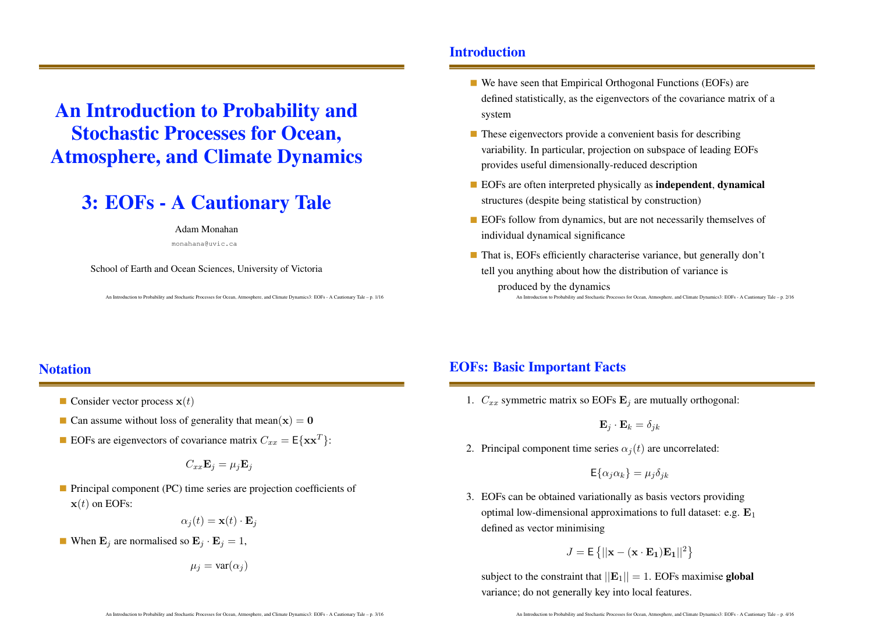An Introduction to Probability and Stochastic Processes for Ocean, Atmosphere, and Climate Dynamics

# 3: EOFs - A Cautionary Tale

#### Adam Monahan

monahana@uvic.ca

School of Earth and Ocean Sciences, University of Victoria

An Introduction to Probability and Stochastic Processes for Ocean, Atmosphere, and Climate Dynamics3: EOFs - A Cautionary Tale – p. 1/16

### Introduction

- We have seen that Empirical Orthogonal Functions (EOFs) are defined statistically, as the eigenvectors of the covariance matrix of <sup>a</sup> system
- These eigenvectors provide <sup>a</sup> convenient basis for describing variability. In particular, projection on subspace of leading EOFs provides useful dimensionally-reduced description
- EOFs are often interpreted physically as independent, dynamical structures (despite being statistical by construction)
- EOFs follow from dynamics, but are not necessarily themselves of individual dynamical significance
- That is, EOFs efficiently characterise variance, but generally don't tell you anything about how the distribution of variance is produced by the dynamics An Introduction to Probability and Stochastic Processes for Ocean, Atmosphere, and Climate Dynamics3: EOFs - A Cautionary Tale – p. 2/16

#### **Notation**

- Consider vector process  $x(t)$
- Can assume without loss of generality that mean $(x) = 0$
- EOFs are eigenvectors of covariance matrix  $C_{xx} = \mathsf{E}\{\mathbf{x}\mathbf{x}^T\}$ :

$$
C_{xx}\mathbf{E}_j=\mu_j\mathbf{E}_j
$$

**Principal component (PC) time series are projection coefficients of**  $\mathbf{x}(t)$  on EOFs:

$$
\alpha_j(t) = \mathbf{x}(t) \cdot \mathbf{E}_j
$$

When  $\mathbf{E}_j$  are normalised so  $\mathbf{E}_j \cdot \mathbf{E}_j = 1$ ,

 $\mu_i = \text{var}(\alpha_i)$ 

# EOFs: Basic Important Facts

1.  $C_{xx}$  symmetric matrix so EOFs  $\mathbf{E}_j$  are mutually orthogonal:

$$
\mathbf{E}_j \cdot \mathbf{E}_k = \delta_{jk}
$$

2. Principal component time series  $\alpha_j(t)$  are uncorrelated:

$$
\mathsf{E}\{\alpha_j\alpha_k\}=\mu_j\delta_{jk}
$$

3. EOFs can be obtained variationally as basis vectors providing optimal low-dimensional approximations to full dataset: e.g.  $E_1$ defined as vector minimising

$$
J = \mathsf{E}\left\{||\mathbf{x} - (\mathbf{x} \cdot \mathbf{E_1}) \mathbf{E_1}||^2\right\}
$$

subject to the constraint that  $||\mathbf{E}_1|| = 1$ . EOFs maximise global variance; do not generally key into local features.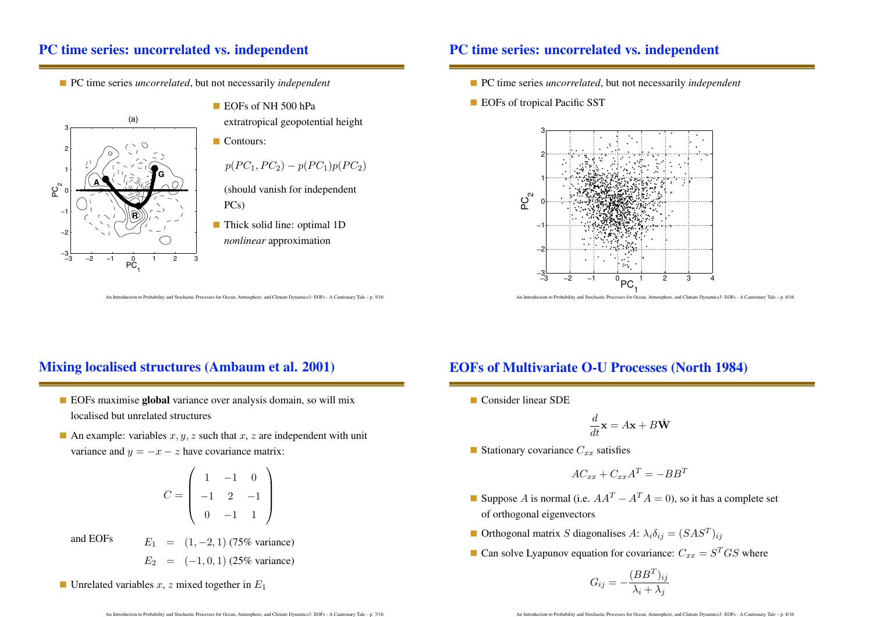## PC time series: uncorrelated vs. independent

PC time series *uncorrelated*, but not necessarily *independent* 



- EOFs of NH 500 hPa extratropical geopotential height  $p(PC_1, PC_2) - p(PC_1)p(PC_2)$ (should vanish for independent
- Thick solid line: optimal 1D nonlinear approximation

An Introduction to Probability and Stochastic Processes for Ocean, Atmosphere, and Climate Dynamics3: EOFs - A Cautionary Tale – p. 5/16

# PC time series: uncorrelated vs. independent

- PC time series *uncorrelated*, but not necessarily *independent*
- EOFs of tropical Pacific SST



An Introduction to Probability and Stochastic Processes for Ocean, Atmosphere, and Climate Dynamics3: EOFs - A Cautionary Tale – p. 6/16

# Mixing localised structures (Ambaum et al. 2001)

- EOFs maximise **global** variance over analysis domain, so will mix localised but unrelated structures
- An example: variables  $x, y, z$  such that  $x, z$  are independent with unit variance and  $y = -x - z$  have covariance matrix:

$$
C = \left(\begin{array}{rrr} 1 & -1 & 0 \\ -1 & 2 & -1 \\ 0 & -1 & 1 \end{array}\right)
$$

and EOFs  $E_1$ 

 $E_1 = (1, -2, 1)$  (75% variance)  $E_2 = (-1, 0, 1)$  (25% variance)

Unrelated variables x, z mixed together in  $E_1$ 

# EOFs of Multivariate O-U Processes (North 1984)

Consider linear SDE

$$
\frac{d}{dt}\mathbf{x} = A\mathbf{x} + B\dot{\mathbf{W}}
$$

Stationary covariance  $C_{xx}$  satisfies

$$
AC_{xx} + C_{xx}A^T = -BB^T
$$

- Suppose A is normal (i.e.  $AA^T A^T A = 0$ ), so it has a complete set of orthogonal eigenvectors
- Orthogonal matrix S diagonalises A:  $\lambda_i \delta_{ij} = (SAS^T)_{ij}$
- Can solve Lyapunov equation for covariance:  $C_{xx} = S^TGS$  where

$$
G_{ij} = -\frac{(BB^T)_{ij}}{\lambda_i + \lambda_j}
$$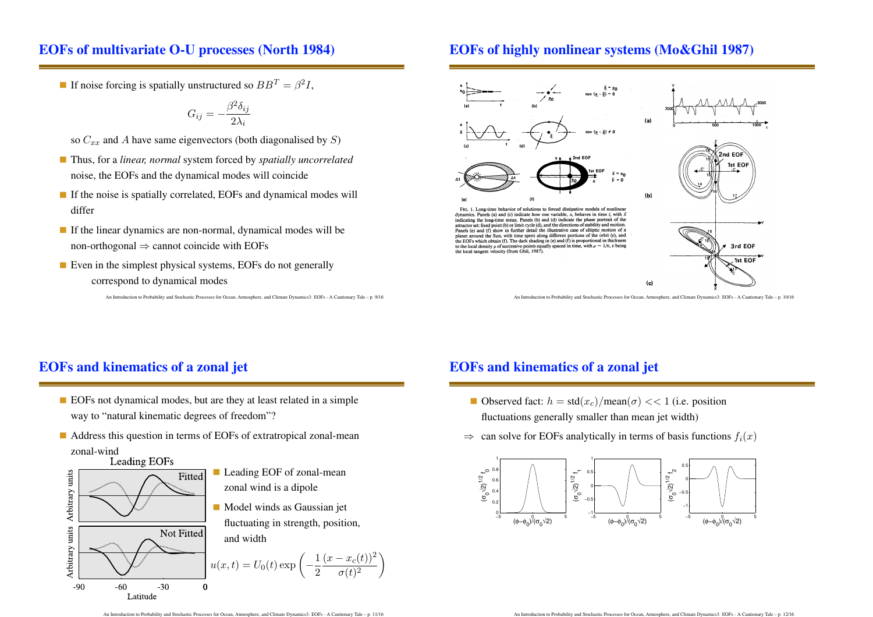# EOFs of multivariate O-U processes (North 1984)

If noise forcing is spatially unstructured so  $BB^T = \beta^2 I$ ,

$$
G_{ij} = -\frac{\beta^2 \delta_{ij}}{2\lambda_i}
$$

- so  $C_{xx}$  and A have same eigenvectors (both diagonalised by S)
- Thus, for a *linear, normal* system forced by *spatially uncorrelated* noise, the EOFs and the dynamical modes will coincide
- If the noise is spatially correlated, EOFs and dynamical modes will differ
- If the linear dynamics are non-normal, dynamical modes will be non-orthogonal  $\Rightarrow$  cannot coincide with EOFs
- Even in the simplest physical systems, EOFs do not generally correspond to dynamical modes

An Introduction to Probability and Stochastic Processes for Ocean, Atmosphere, and Climate Dynamics3: EOFs - A Cautionary Tale – p. 9/16

#### EOFs of highly nonlinear systems (Mo&Ghil 1987)



An Introduction to Probability and Stochastic Processes for Ocean, Atmosphere, and Climate Dynamics3: EOFs - A Cautionary Tale – p. 10/16

# EOFs and kinematics of <sup>a</sup> zonal jet

- EOFs not dynamical modes, but are they at least related in <sup>a</sup> simple way to "natural kinematic degrees of freedom"?
- Address this question in terms of EOFs of extratropical zonal-mean zonal-wind



### EOFs and kinematics of <sup>a</sup> zonal jet

- Observed fact:  $h = \text{std}(x_c)/\text{mean}(\sigma) \ll 1$  (i.e. position fluctuations generally smaller than mean jet width)
- $\Rightarrow$  can solve for EOFs analytically in terms of basis functions  $f_i(x)$